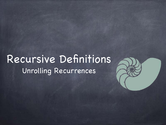## Recursive Definitions Unrolling Recurrences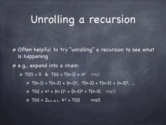## Unrolling a recursion

Often helpful to try "unrolling" a recursion to see what is happening

e.g., expand into a chain:

- $\bullet$  T(0) = 0 & T(n) = T(n-1) + n<sup>2</sup>  $\forall$ n≥1
	- T(n-1) = T(n-2) + (n-1)2, T(n-2) = T(n-3) + (n-2)<sup>2</sup> , ...
	- $\sigma$  T(n) = n<sup>2</sup> + (n-1)<sup>2</sup> + (n-2)<sup>2</sup> + T(n-3)  $\forall$ n≥3
	- $\sigma$  T(n) =  $\Sigma_{k=1 \text{ to n}}$  k<sup>2</sup> + T(0)  $\forall n \ge 0$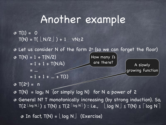#### Another example

```
\sqrt{3} T(1) = 0
T(N) = T(\lfloor N/2 \rfloor) + 1 \quad \forall N \geq 2
```
**B** Let us consider N of the form 2<sup>n</sup> (so we can forget the floor)  $\text{I}(N) = 1 + T(N/2)$ 

 $= 1 + 1 + T(N/4)$ 

How many 1's

are there?  $\begin{array}{|c|c|c|}\n\hline\n\text{A slowly}\n\end{array}$ growing function

 $= 1 + 1 + ... + T(1)$ 

 $\sqrt{3}$  T(2n) = n

= ...

 $\sigma$  T(N) = log<sub>2</sub> N (or simply log N) for N a power of 2

General N? T monotonically increasing (by strong induction). So,  $T(2 \log N)$   $\leq T(N) \leq T(2 \log N)$ : i.e.,  $\lfloor \log N \rfloor \leq T(N) \leq \lceil \log N \rceil$ 

 $\circ$  In fact,  $T(N) = \lfloor log N \rfloor$  (Exercise)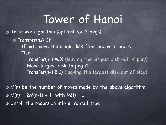## Tower of Hanoi

Recursive algorithm (optimal for 3 pegs)

Transfer(n,A,C):

 If n=1, move the single disk from peg A to peg C Else

 Transfer(n-1,A,B) (leaving the largest disk out of play) Move largest disk to peg C Transfer(n-1,B,C) (leaving the largest disk out of play)

M(n) be the number of moves made by the above algorithm  $\text{M}(n) = 2M(n-1) + 1$  with  $M(1) = 1$ Unroll the recursion into a "rooted tree"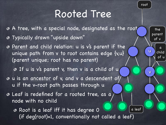#### Rooted Tree

u

a

the

parent

of v

child

of u

root

v

A tree, with a special node, designated as the root

- Typically drawn "upside down"
- Parent and child relation: u is v's parent if the unique path from v to root contains edge {v,u} (parent unique; root has no parent)

**O** If u is v's parent v, then v is a child of u

- $\bullet$  u is an ancestor of v, and v a descendent of u if the v-root path passes through u
- Leaf is redefined for a rooted tree, as a node with no child

Root is a leaf iff it has degree 0 (if deg(root)=1, conventionally not called a leaf) a leaf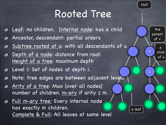#### Rooted Tree

- Leaf: no children. Internal node: has a child ⊛
- Ancestor, descendant: partial orders จ
- Subtree rooted at u: with all descendants of u จ
- Depth of a node: distance from root. จ Height of a tree: maximum depth
- Level i: Set of nodes at depth i. จ
- Note: tree edges are between adjacent levels ぁ
- Arity of a tree: Max (over all nodes) จ number of children.  $m-ary$  if arity  $\leq m$ .
- Full m-ary tree: Every internal node จ has exactly m children. Complete & Full: All leaves at same level

a leaf

root

a

the

parent

of v

u

v

child

of u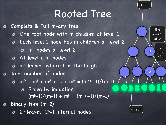#### Rooted Tree

root

a

the

parent

of v

u

v

child

of u

Complete & Full m-ary tree ◉ One root node with m children at level 1 จ Each level 1 node has m children at level 2  $\bullet$ m2 nodes at level 2 At level i, mi nodes mh leaves, where h is the height Total number of nodes: จ  $\omega$  m<sup>0</sup> + m<sup>1</sup> + m<sup>2</sup> + ... + m<sup>h</sup> = (m<sup>h+1</sup>-1)/(m-1) Prove by induction:  $(m<sup>h</sup>-1)/(m-1) + m<sup>h</sup> = (m<sup>h+1</sup>-1)/(m-1)$ Binary tree (m=2) ぁ a leaf 2h leaves, 2h-1 internal nodes ぁ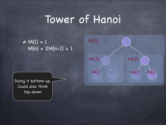# Tower of Hanoi

 $M(1) = 1$  $M(n) = 2M(n-1) + 1$ 



Doing it bottom-up. Could also think top-down